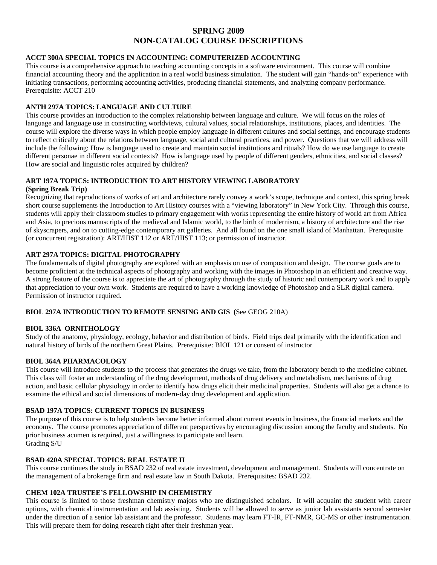# **SPRING 2009 NON-CATALOG COURSE DESCRIPTIONS**

# **ACCT 300A SPECIAL TOPICS IN ACCOUNTING: COMPUTERIZED ACCOUNTING**

This course is a comprehensive approach to teaching accounting concepts in a software environment. This course will combine financial accounting theory and the application in a real world business simulation. The student will gain "hands-on" experience with initiating transactions, performing accounting activities, producing financial statements, and analyzing company performance. Prerequisite: ACCT 210

# **ANTH 297A TOPICS: LANGUAGE AND CULTURE**

This course provides an introduction to the complex relationship between language and culture. We will focus on the roles of language and language use in constructing worldviews, cultural values, social relationships, institutions, places, and identities. The course will explore the diverse ways in which people employ language in different cultures and social settings, and encourage students to reflect critically about the relations between language, social and cultural practices, and power. Questions that we will address will include the following: How is language used to create and maintain social institutions and rituals? How do we use language to create different personae in different social contexts? How is language used by people of different genders, ethnicities, and social classes? How are social and linguistic roles acquired by children?

# **ART 197A TOPICS: INTRODUCTION TO ART HISTORY VIEWING LABORATORY**

# **(Spring Break Trip)**

Recognizing that reproductions of works of art and architecture rarely convey a work's scope, technique and context, this spring break short course supplements the Introduction to Art History courses with a "viewing laboratory" in New York City. Through this course, students will apply their classroom studies to primary engagement with works representing the entire history of world art from Africa and Asia, to precious manuscripts of the medieval and Islamic world, to the birth of modernism, a history of architecture and the rise of skyscrapers, and on to cutting-edge contemporary art galleries. And all found on the one small island of Manhattan. Prerequisite (or concurrent registration): ART/HIST 112 or ART/HIST 113; or permission of instructor.

# **ART 297A TOPICS: DIGITAL PHOTOGRAPHY**

The fundamentals of digital photography are explored with an emphasis on use of composition and design. The course goals are to become proficient at the technical aspects of photography and working with the images in Photoshop in an efficient and creative way. A strong feature of the course is to appreciate the art of photography through the study of historic and contemporary work and to apply that appreciation to your own work. Students are required to have a working knowledge of Photoshop and a SLR digital camera. Permission of instructor required.

# **BIOL 297A INTRODUCTION TO REMOTE SENSING AND GIS (**See GEOG 210A)

# **BIOL 336A ORNITHOLOGY**

Study of the anatomy, physiology, ecology, behavior and distribution of birds. Field trips deal primarily with the identification and natural history of birds of the northern Great Plains. Prerequisite: BIOL 121 or consent of instructor

# **BIOL 364A PHARMACOLOGY**

This course will introduce students to the process that generates the drugs we take, from the laboratory bench to the medicine cabinet. This class will foster an understanding of the drug development, methods of drug delivery and metabolism, mechanisms of drug action, and basic cellular physiology in order to identify how drugs elicit their medicinal properties. Students will also get a chance to examine the ethical and social dimensions of modern-day drug development and application.

# **BSAD 197A TOPICS: CURRENT TOPICS IN BUSINESS**

The purpose of this course is to help students become better informed about current events in business, the financial markets and the economy. The course promotes appreciation of different perspectives by encouraging discussion among the faculty and students. No prior business acumen is required, just a willingness to participate and learn. Grading S/U

# **BSAD 420A SPECIAL TOPICS: REAL ESTATE II**

This course continues the study in BSAD 232 of real estate investment, development and management. Students will concentrate on the management of a brokerage firm and real estate law in South Dakota. Prerequisites: BSAD 232.

# **CHEM 102A TRUSTEE'S FELLOWSHIP IN CHEMISTRY**

This course is limited to those freshman chemistry majors who are distinguished scholars. It will acquaint the student with career options, with chemical instrumentation and lab assisting. Students will be allowed to serve as junior lab assistants second semester under the direction of a senior lab assistant and the professor. Students may learn FT-IR, FT-NMR, GC-MS or other instrumentation. This will prepare them for doing research right after their freshman year.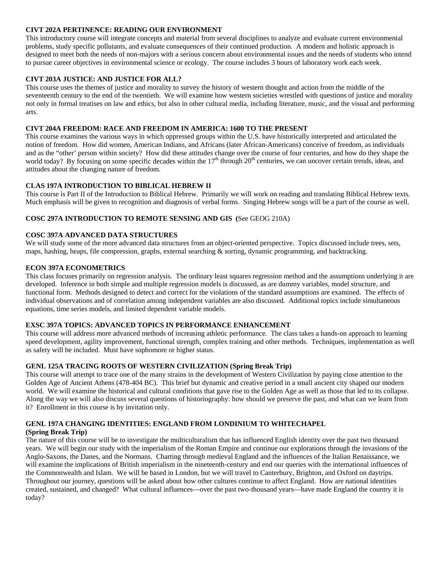# **CIVT 202A PERTINENCE: READING OUR ENVIRONMENT**

This introductory course will integrate concepts and material from several disciplines to analyze and evaluate current environmental problems, study specific pollutants, and evaluate consequences of their continued production. A modern and holistic approach is designed to meet both the needs of non-majors with a serious concern about environmental issues and the needs of students who intend to pursue career objectives in environmental science or ecology. The course includes 3 hours of laboratory work each week.

# **CIVT 203A JUSTICE: AND JUSTICE FOR ALL?**

This course uses the themes of justice and morality to survey the history of western thought and action from the middle of the seventeenth century to the end of the twentieth. We will examine how western societies wrestled with questions of justice and morality not only in formal treatises on law and ethics, but also in other cultural media, including literature, music, and the visual and performing arts.

### **CIVT 204A FREEDOM: RACE AND FREEDOM IN AMERICA: 1600 TO THE PRESENT**

This course examines the various ways in which oppressed groups within the U.S. have historically interpreted and articulated the notion of freedom. How did women, American Indians, and Africans (later African-Americans) conceive of freedom, as individuals and as the "other' person within society? How did these attitudes change over the course of four centuries, and how do they shape the world today? By focusing on some specific decades within the 17<sup>th</sup> through 20<sup>th</sup> centuries, we can uncover certain trends, ideas, and attitudes about the changing nature of freedom.

# **CLAS 197A INTRODUCTION TO BIBLICAL HEBREW II**

This course is Part II of the Introduction to Biblical Hebrew. Primarily we will work on reading and translating Biblical Hebrew texts. Much emphasis will be given to recognition and diagnosis of verbal forms. Singing Hebrew songs will be a part of the course as well.

# **COSC 297A INTRODUCTION TO REMOTE SENSING AND GIS (**See GEOG 210A)

### **COSC 397A ADVANCED DATA STRUCTURES**

We will study some of the more advanced data structures from an object-oriented perspective. Topics discussed include trees, sets, maps, hashing, heaps, file compression, graphs, external searching & sorting, dynamic programming, and backtracking.

#### **ECON 397A ECONOMETRICS**

This class focuses primarily on regression analysis. The ordinary least squares regression method and the assumptions underlying it are developed. Inference in both simple and multiple regression models is discussed, as are dummy variables, model structure, and functional form. Methods designed to detect and correct for the violations of the standard assumptions are examined. The effects of individual observations and of correlation among independent variables are also discussed. Additional topics include simultaneous equations, time series models, and limited dependent variable models.

#### **EXSC 397A TOPICS: ADVANCED TOPICS IN PERFORMANCE ENHANCEMENT**

This course will address more advanced methods of increasing athletic performance. The class takes a hands-on approach to learning speed development, agility improvement, functional strength, complex training and other methods. Techniques, implementation as well as safety will be included. Must have sophomore or higher status.

#### **GENL 125A TRACING ROOTS OF WESTERN CIVILIZATION (Spring Break Trip)**

This course will attempt to trace one of the many strains in the development of Western Civilization by paying close attention to the Golden Age of Ancient Athens (478-404 BC). This brief but dynamic and creative period in a small ancient city shaped our modern world. We will examine the historical and cultural conditions that gave rise to the Golden Age as well as those that led to its collapse. Along the way we will also discuss several questions of historiography: how should we preserve the past, and what can we learn from it? Enrollment in this course is by invitation only.

# **GENL 197A CHANGING IDENTITIES: ENGLAND FROM LONDINIUM TO WHITECHAPEL**

#### **(Spring Break Trip)**

The nature of this course will be to investigate the multiculturalism that has influenced English identity over the past two thousand years. We will begin our study with the imperialism of the Roman Empire and continue our explorations through the invasions of the Anglo-Saxons, the Danes, and the Normans. Charting through medieval England and the influences of the Italian Renaissance, we will examine the implications of British imperialism in the nineteenth-century and end our queries with the international influences of the Commonwealth and Islam. We will be based in London, but we will travel to Canterbury, Brighton, and Oxford on daytrips. Throughout our journey, questions will be asked about how other cultures continue to affect England. How are national identities created, sustained, and changed? What cultural influences—over the past two-thousand years—have made England the country it is today?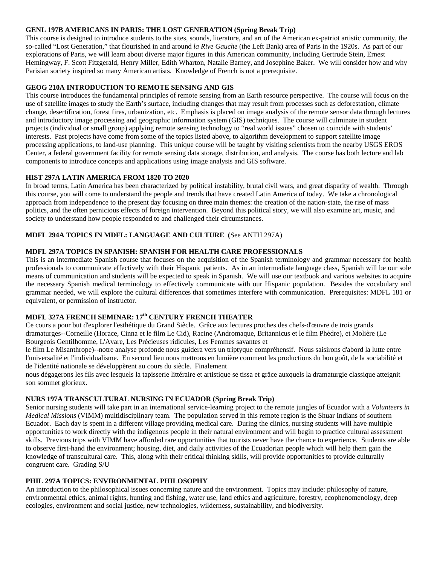# **GENL 197B AMERICANS IN PARIS: THE LOST GENERATION (Spring Break Trip)**

This course is designed to introduce students to the sites, sounds, literature, and art of the American ex-patriot artistic community, the so-called "Lost Generation," that flourished in and around *la Rive Gauche* (the Left Bank) area of Paris in the 1920s. As part of our explorations of Paris, we will learn about diverse major figures in this American community, including Gertrude Stein, Ernest Hemingway, F. Scott Fitzgerald, Henry Miller, Edith Wharton, Natalie Barney, and Josephine Baker. We will consider how and why Parisian society inspired so many American artists. Knowledge of French is not a prerequisite.

# **GEOG 210A INTRODUCTION TO REMOTE SENSING AND GIS**

This course introduces the fundamental principles of remote sensing from an Earth resource perspective. The course will focus on the use of satellite images to study the Earth's surface, including changes that may result from processes such as deforestation, climate change, desertification, forest fires, urbanization, etc. Emphasis is placed on image analysis of the remote sensor data through lectures and introductory image processing and geographic information system (GIS) techniques. The course will culminate in student projects (individual or small group) applying remote sensing technology to "real world issues" chosen to coincide with students' interests. Past projects have come from some of the topics listed above, to algorithm development to support satellite image processing applications, to land-use planning. This unique course will be taught by visiting scientists from the nearby USGS EROS Center, a federal government facility for remote sensing data storage, distribution, and analysis. The course has both lecture and lab components to introduce concepts and applications using image analysis and GIS software.

# **HIST 297A LATIN AMERICA FROM 1820 TO 2020**

In broad terms, Latin America has been characterized by political instability, brutal civil wars, and great disparity of wealth. Through this course, you will come to understand the people and trends that have created Latin America of today. We take a chronological approach from independence to the present day focusing on three main themes: the creation of the nation-state, the rise of mass politics, and the often pernicious effects of foreign intervention. Beyond this political story, we will also examine art, music, and society to understand how people responded to and challenged their circumstances.

# **MDFL 294A TOPICS IN MDFL: LANGUAGE AND CULTURE (**See ANTH 297A)

# **MDFL 297A TOPICS IN SPANISH: SPANISH FOR HEALTH CARE PROFESSIONALS**

This is an intermediate Spanish course that focuses on the acquisition of the Spanish terminology and grammar necessary for health professionals to communicate effectively with their Hispanic patients. As in an intermediate language class, Spanish will be our sole means of communication and students will be expected to speak in Spanish. We will use our textbook and various websites to acquire the necessary Spanish medical terminology to effectively communicate with our Hispanic population. Besides the vocabulary and grammar needed, we will explore the cultural differences that sometimes interfere with communication. Prerequisites: MDFL 181 or equivalent, or permission of instructor.

# **MDFL 327A FRENCH SEMINAR: 17th CENTURY FRENCH THEATER**

Ce cours a pour but d'explorer l'esthétique du Grand Siècle. Grâce aux lectures proches des chefs-d'œuvre de trois grands dramaturges--Corneille (Horace, Cinna et le film Le Cid), Racine (Andromaque, Britannicus et le film Phèdre), et Molière (Le Bourgeois Gentilhomme, L'Avare, Les Précieuses ridicules, Les Femmes savantes et

le film Le Misanthrope)--notre analyse profonde nous guidera vers un triptyque compréhensif. Nous saisirons d'abord la lutte entre l'universalité et l'individualisme. En second lieu nous mettrons en lumière comment les productions du bon goût, de la sociabilité et de l'identité nationale se développèrent au cours du siècle. Finalement

nous dégagerons les fils avec lesquels la tapisserie littéraire et artistique se tissa et grâce auxquels la dramaturgie classique atteignit son sommet glorieux.

# **NURS 197A TRANSCULTURAL NURSING IN ECUADOR (Spring Break Trip)**

Senior nursing students will take part in an international service-learning project to the remote jungles of Ecuador with a *Volunteers in Medical Missions* (VIMM) multidisciplinary team. The population served in this remote region is the Shuar Indians of southern Ecuador. Each day is spent in a different village providing medical care. During the clinics, nursing students will have multiple opportunities to work directly with the indigenous people in their natural environment and will begin to practice cultural assessment skills. Previous trips with VIMM have afforded rare opportunities that tourists never have the chance to experience. Students are able to observe first-hand the environment; housing, diet, and daily activities of the Ecuadorian people which will help them gain the knowledge of transcultural care. This, along with their critical thinking skills, will provide opportunities to provide culturally congruent care. Grading S/U

# **PHIL 297A TOPICS: ENVIRONMENTAL PHILOSOPHY**

An introduction to the philosophical issues concerning nature and the environment. Topics may include: philosophy of nature, environmental ethics, animal rights, hunting and fishing, water use, land ethics and agriculture, forestry, ecophenomenology, deep ecologies, environment and social justice, new technologies, wilderness, sustainability, and biodiversity.